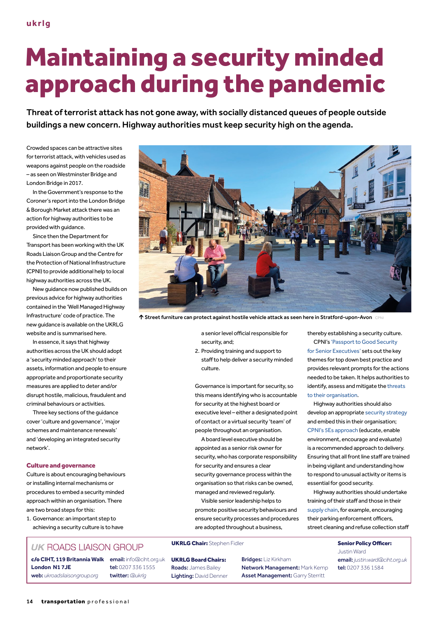# Maintaining a security minded approach during the pandemic

Threat of terrorist attack has not gone away, with socially distanced queues of people outside buildings a new concern. Highway authorities must keep security high on the agenda.

Crowded spaces can be attractive sites for terrorist attack, with vehicles used as weapons against people on the roadside – as seen on Westminster Bridge and London Bridge in 2017.

In the Government's response to the Coroner's report into the London Bridge & Borough Market attack there was an action for highway authorities to be provided with guidance.

Since then the Department for Transport has been working with the UK Roads Liaison Group and the Centre for the Protection of National Infrastructure (CPNI) to provide additional help to local highway authorities across the UK.

New guidance now published builds on previous advice for highway authorities contained in the 'Well Managed Highway Infrastructure' code of practice. The new guidance is available on the UKRLG website and is summarised here.

In essence, it says that highway authorities across the UK should adopt a 'security minded approach' to their assets, information and people to ensure appropriate and proportionate security measures are applied to deter and/or disrupt hostile, malicious, fraudulent and criminal behaviours or activities.

Three key sections of the guidance cover 'culture and governance', 'major schemes and maintenance renewals' and 'developing an integrated security network'.

#### Culture and governance

Culture is about encouraging behaviours or installing internal mechanisms or procedures to embed a security minded approach within an organisation. There are two broad steps for this:

1. Governance: an important step to achieving a security culture is to have

# **UK ROADS LIAISON GROUP**

c/o **CIHT, 119 Britannia Walk** email: info@ciht.org.uk **London N1 7JE** web: *ukroadsliaisongroup.org*

tel: 0207 336 1555 twitter: *@ukrlg*



 $\uparrow$  Street furniture can protect against hostile vehicle attack as seen here in Stratford-upon-Avon CPNI

a senior level official responsible for security, and;

2. Providing training and support to staff to help deliver a security minded culture.

Governance is important for security, so this means identifying who is accountable for security at the highest board or executive level – either a designated point of contact or a virtual security 'team' of people throughout an organisation.

A board level executive should be appointed as a senior risk owner for security, who has corporate responsibility for security and ensures a clear security governance process within the organisation so that risks can be owned, managed and reviewed regularly.

Visible senior leadership helps to promote positive security behaviours and ensure security processes and procedures are adopted throughout a business,

## UKRLG Chair: Stephen Fidler Senior Policy Officer:

UKRLG Board Chairs: Roads: James Bailey Lighting: David Denner Bridges: Liz Kirkham Network Management: Mark Kemp Asset Management: Garry Sterritt

thereby establishing a security culture.

CPNI's 'Passport to Good Security for Senior Executives' sets out the key themes for top down best practice and provides relevant prompts for the actions needed to be taken. It helps authorities to identify, assess and mitigate the threats to their organisation.

Highway authorities should also develop an appropriate security strategy and embed this in their organisation; CPNI's 5Es approach (educate, enable environment, encourage and evaluate) is a recommended approach to delivery. Ensuring that all front line staff are trained in being vigilant and understanding how to respond to unusual activity or items is essential for good security.

Highway authorities should undertake training of their staff and those in their supply chain, for example, encouraging their parking enforcement officers, street cleaning and refuse collection staff

> Justin Ward email: *justin.ward@ciht.org.uk* tel: 0207 336 1584